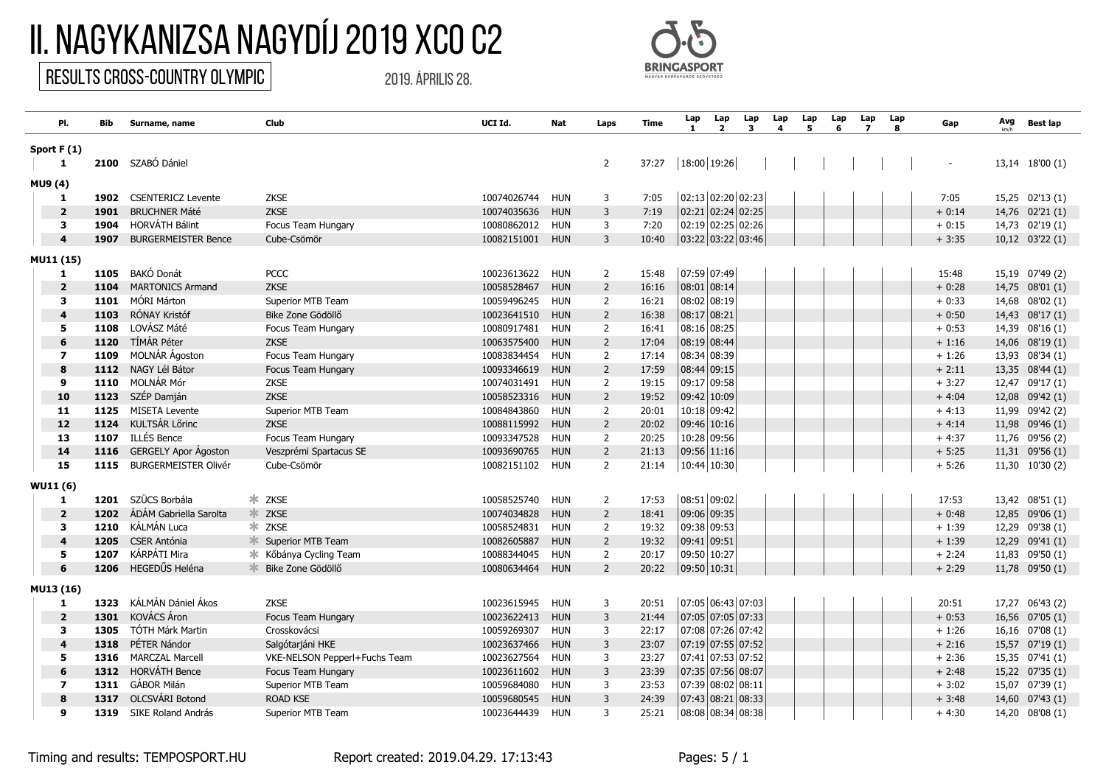## II. Nagykanizsa Nagydíj 2019 XCO C2

## Results CROSS-COUNTRY OLYMPIC

2019. április 28.



| PI.                     | Bib. | Surname, name               | Club                               | UCI Id.         | Nat        | Laps           | Time  | Lap           | Lap<br>$\overline{2}$ | Lap<br>3 | Lap | Lap | Lap<br>6 | Lap<br>$\mathbf{z}$ | Lap<br>8 | Gap      | Avg | <b>Best lap</b> |
|-------------------------|------|-----------------------------|------------------------------------|-----------------|------------|----------------|-------|---------------|-----------------------|----------|-----|-----|----------|---------------------|----------|----------|-----|-----------------|
| Sport $F(1)$            |      |                             |                                    |                 |            |                |       |               |                       |          |     |     |          |                     |          |          |     |                 |
| 1                       | 2100 | SZABÓ Dániel                |                                    |                 |            | $\overline{2}$ | 37:27 | 18:00 19:26   |                       |          |     |     |          |                     |          |          |     | 13,14 18'00 (1) |
| MU9 (4)                 |      |                             |                                    |                 |            |                |       |               |                       |          |     |     |          |                     |          |          |     |                 |
| 1                       | 1902 | <b>CSENTERICZ Levente</b>   | <b>ZKSE</b>                        | 10074026744     | <b>HUN</b> | 3              | 7:05  |               | $02:13$ 02:20 02:23   |          |     |     |          |                     |          | 7:05     |     | 15,25 02'13 (1) |
| $\overline{\mathbf{2}}$ | 1901 | <b>BRUCHNER Máté</b>        | <b>ZKSE</b>                        | 10074035636     | <b>HUN</b> | $\overline{3}$ | 7:19  |               | $02:21$ 02:24 02:25   |          |     |     |          |                     |          | $+0:14$  |     | 14,76 02'21 (1) |
| 3                       | 1904 | <b>HORVÁTH Bálint</b>       | Focus Team Hungary                 | 10080862012     | HUN        | 3              | 7:20  |               | 02:19 02:25 02:26     |          |     |     |          |                     |          | $+0:15$  |     | 14,73 02'19 (1) |
| $\boldsymbol{A}$        | 1907 | <b>BURGERMEISTER Bence</b>  | Cube-Csömör                        | 10082151001 HUN |            | 3              | 10:40 |               | 03:22 03:22 03:46     |          |     |     |          |                     |          | $+3:35$  |     | 10,12 03'22 (1) |
| MU11 (15)               |      |                             |                                    |                 |            |                |       |               |                       |          |     |     |          |                     |          |          |     |                 |
| 1                       | 1105 | BAKÓ Donát                  | <b>PCCC</b>                        | 10023613622     | HUN        | $\overline{2}$ | 15:48 |               | 07:59 07:49           |          |     |     |          |                     |          | 15:48    |     | 15,19 07'49 (2) |
| $\overline{2}$          | 1104 | <b>MARTONICS Armand</b>     | <b>ZKSE</b>                        | 10058528467     | <b>HUN</b> | $\overline{2}$ | 16:16 | 08:01 08:14   |                       |          |     |     |          |                     |          | $+0:28$  |     | 14,75 08'01 (1) |
| $\overline{\mathbf{3}}$ | 1101 | MÓRI Márton                 | Superior MTB Team                  | 10059496245     | <b>HUN</b> | $\overline{2}$ | 16:21 | 08:02 08:19   |                       |          |     |     |          |                     |          | $+0:33$  |     | 14,68 08'02 (1) |
| $\overline{4}$          | 1103 | RÓNAY Kristóf               | Bike Zone Gödöllő                  | 10023641510     | <b>HUN</b> | $\overline{2}$ | 16:38 | $08:17$ 08:21 |                       |          |     |     |          |                     |          | $+0:50$  |     | 14,43 08'17 (1) |
| 5                       | 1108 | LOVÁSZ Máté                 | Focus Team Hungary                 | 10080917481     | <b>HUN</b> | $\overline{2}$ | 16:41 | 08:16 08:25   |                       |          |     |     |          |                     |          | $+0:53$  |     | 14,39 08'16 (1) |
| 6                       | 1120 | <b>TÍMÁR Péter</b>          | <b>ZKSE</b>                        | 10063575400     | <b>HUN</b> | $\overline{2}$ | 17:04 | 08:19 08:44   |                       |          |     |     |          |                     |          | $+1:16$  |     | 14,06 08'19 (1) |
| $\overline{\mathbf{z}}$ | 1109 | MOLNÁR Ágoston              | Focus Team Hungary                 | 10083834454     | <b>HUN</b> | $\overline{2}$ | 17:14 | 08:34 08:39   |                       |          |     |     |          |                     |          | $+1:26$  |     | 13,93 08'34 (1) |
| 8                       | 1112 | NAGY Lél Bátor              | Focus Team Hungary                 | 10093346619     | <b>HUN</b> | $\overline{2}$ | 17:59 | 08:44 09:15   |                       |          |     |     |          |                     |          | $+2:11$  |     | 13,35 08'44 (1) |
| 9                       |      | 1110 MOLNÁR Mór             | <b>ZKSE</b>                        | 10074031491     | <b>HUN</b> | $\overline{2}$ | 19:15 | 09:17 09:58   |                       |          |     |     |          |                     |          | $+3:27$  |     | 12,47 09'17 (1) |
| 10                      | 1123 | SZÉP Damján                 | ZKSE                               | 10058523316     | <b>HUN</b> | $\overline{2}$ | 19:52 | 09:42 10:09   |                       |          |     |     |          |                     |          | $+4:04$  |     | 12,08 09'42 (1) |
| 11                      | 1125 | <b>MISETA Levente</b>       | Superior MTB Team                  | 10084843860     | <b>HUN</b> | $\overline{2}$ | 20:01 |               | 10:18 09:42           |          |     |     |          |                     |          | $+4:13$  |     | 11,99 09'42 (2) |
| 12                      | 1124 | KULTSÁR Lőrinc              | <b>ZKSE</b>                        | 10088115992     | <b>HUN</b> | $\overline{2}$ | 20:02 | $09:46$ 10:16 |                       |          |     |     |          |                     |          | $+4:14$  |     | 11,98 09'46 (1) |
| 13                      | 1107 | <b>ILLÉS Bence</b>          | Focus Team Hungary                 | 10093347528     | <b>HUN</b> | $\overline{2}$ | 20:25 |               | 10:28 09:56           |          |     |     |          |                     |          | $+4:37$  |     | 11,76 09'56 (2) |
| 14                      | 1116 | <b>GERGELY Apor Ágoston</b> | Veszprémi Spartacus SE             | 10093690765     | <b>HUN</b> | $\overline{2}$ | 21:13 | 09:56 11:16   |                       |          |     |     |          |                     |          | $+ 5:25$ |     | 11,31 09'56 (1) |
| 15                      | 1115 | <b>BURGERMEISTER Olivér</b> | Cube-Csömör                        | 10082151102     | HUN        | $\overline{2}$ | 21:14 |               | 10:44 10:30           |          |     |     |          |                     |          | $+5:26$  |     | 11,30 10'30 (2) |
| <b>WU11 (6)</b>         |      |                             |                                    |                 |            |                |       |               |                       |          |     |     |          |                     |          |          |     |                 |
| 1                       |      | 1201 SZÜCS Borbála          | * ZKSE                             | 10058525740     | <b>HUN</b> | 2              | 17:53 | 08:51 09:02   |                       |          |     |     |          |                     |          | 17:53    |     | 13,42 08'51 (1) |
| $\overline{2}$          | 1202 | ÁDÁM Gabriella Sarolta      | * ZKSE                             | 10074034828     | <b>HUN</b> | $\overline{2}$ | 18:41 | 09:06 09:35   |                       |          |     |     |          |                     |          | $+0:48$  |     | 12,85 09'06 (1) |
| 3                       | 1210 | KÁLMÁN Luca                 | * ZKSE                             | 10058524831     | <b>HUN</b> | 2              | 19:32 | 09:38 09:53   |                       |          |     |     |          |                     |          | $+1:39$  |     | 12,29 09'38 (1) |
| $\overline{4}$          | 1205 | <b>CSER Antónia</b>         | Superior MTB Team                  | 10082605887     | <b>HUN</b> | $\overline{2}$ | 19:32 | $09:41$ 09:51 |                       |          |     |     |          |                     |          | $+1:39$  |     | 12,29 09'41 (1) |
| 5                       | 1207 | KÁRPÁTI Mira                | <b></b> Kőbánya Cycling Team       | 10088344045     | <b>HUN</b> | 2              | 20:17 | 09:50 10:27   |                       |          |     |     |          |                     |          | $+2:24$  |     | 11,83 09'50 (1) |
| 6                       | 1206 | HEGEDŰS Heléna              | $\frac{1}{2}$<br>Bike Zone Gödöllő | 10080634464     | <b>HUN</b> | $\overline{2}$ | 20:22 | 09:50 10:31   |                       |          |     |     |          |                     |          | $+2:29$  |     | 11,78 09'50 (1) |
| MU13 (16)               |      |                             |                                    |                 |            |                |       |               |                       |          |     |     |          |                     |          |          |     |                 |
| 1                       | 1323 | KÁLMÁN Dániel Ákos          | <b>ZKSE</b>                        | 10023615945     | <b>HUN</b> | 3              | 20:51 |               | 07:05 06:43 07:03     |          |     |     |          |                     |          | 20:51    |     | 17,27 06'43 (2) |
| $\overline{\mathbf{2}}$ | 1301 | KOVÁCS Áron                 | Focus Team Hungary                 | 10023622413     | <b>HUN</b> | 3              | 21:44 |               | 07:05 07:05 07:33     |          |     |     |          |                     |          | $+0:53$  |     | 16,56 07'05 (1) |
| $\overline{\mathbf{3}}$ | 1305 | TÓTH Márk Martin            | Crosskovácsi                       | 10059269307     | <b>HUN</b> | 3              | 22:17 |               | 07:08 07:26 07:42     |          |     |     |          |                     |          | $+1:26$  |     | 16,16 07'08 (1) |
| $\overline{4}$          | 1318 | PÉTER Nándor                | Salgótarjáni HKE                   | 10023637466     | <b>HUN</b> | 3              | 23:07 |               | 07:19 07:55 07:52     |          |     |     |          |                     |          | $+2:16$  |     | 15,57 07'19 (1) |
| 5                       | 1316 | <b>MARCZAL Marcell</b>      | VKE-NELSON Pepperl+Fuchs Team      | 10023627564     | <b>HUN</b> | 3              | 23:27 |               | 07:41 07:53 07:52     |          |     |     |          |                     |          | $+2:36$  |     | 15,35 07'41 (1) |
| 6                       | 1312 | <b>HORVÁTH Bence</b>        | Focus Team Hungary                 | 10023611602     | <b>HUN</b> | 3              | 23:39 |               | 07:35 07:56 08:07     |          |     |     |          |                     |          | $+2:48$  |     | 15,22 07'35 (1) |
| $\overline{\mathbf{z}}$ | 1311 | GÁBOR Milán                 | Superior MTB Team                  | 10059684080     | <b>HUN</b> | 3              | 23:53 |               | 07:39 08:02 08:11     |          |     |     |          |                     |          | $+3:02$  |     | 15,07 07'39 (1) |
| 8                       | 1317 | OLCSVÁRI Botond             | <b>ROAD KSE</b>                    | 10059680545     | <b>HUN</b> | 3              | 24:39 |               | 07:43 08:21 08:33     |          |     |     |          |                     |          | $+3:48$  |     | 14,60 07'43 (1) |
| q                       | 1319 | SIKE Roland András          | Superior MTB Team                  | 10023644439     | <b>HUN</b> | 3              | 25:21 |               | 08:08 08:34 08:38     |          |     |     |          |                     |          | $+4:30$  |     | 14,20 08'08 (1) |

Timing and results: TEMPOSPORT.HU Report created: 2019.04.29. 17:13:43 Pages: 5 / 1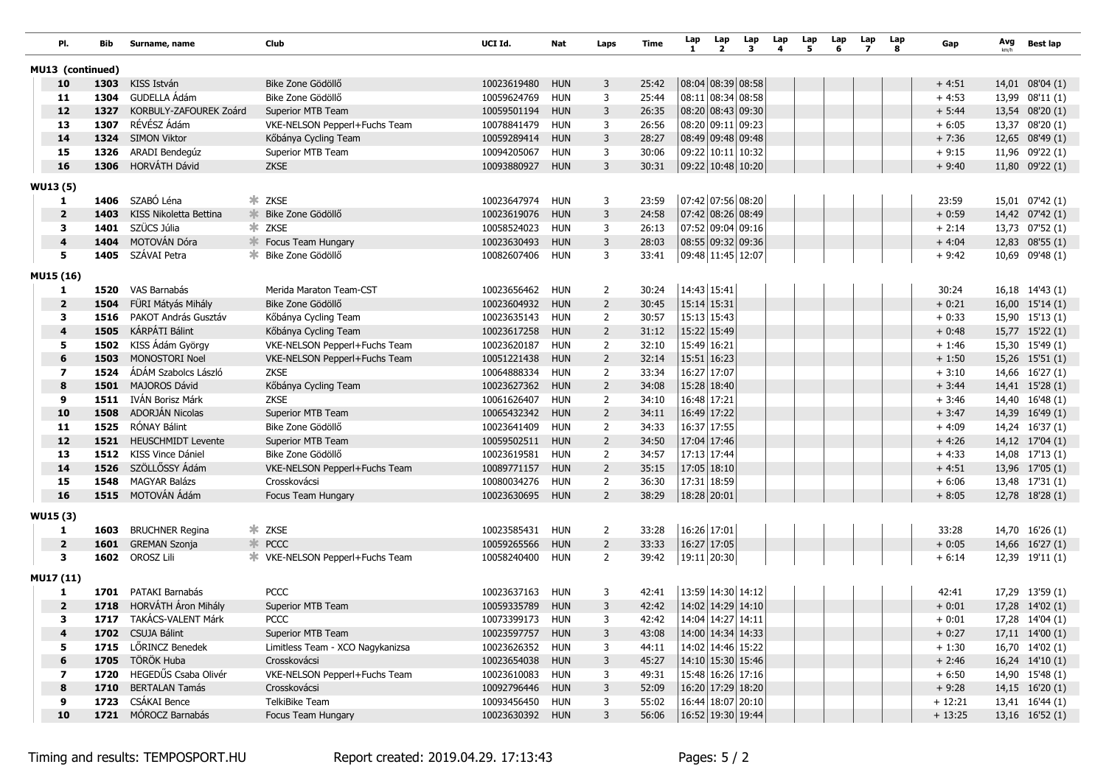|                 | PI.                     | Bib  | Surname, name             | Club                             | UCI Id.         | Nat        | Laps           | Time  | Lap<br>-1         | Lap<br>$\overline{2}$ | Lap<br>3 | Lap<br>4 | Lap<br>5 | Lap<br>6 | Lap<br>$\overline{ }$ | Lap<br>8 | Gap      | Avg | <b>Best lap</b>    |
|-----------------|-------------------------|------|---------------------------|----------------------------------|-----------------|------------|----------------|-------|-------------------|-----------------------|----------|----------|----------|----------|-----------------------|----------|----------|-----|--------------------|
|                 | MU13 (continued)        |      |                           |                                  |                 |            |                |       |                   |                       |          |          |          |          |                       |          |          |     |                    |
|                 | 10                      | 1303 | KISS István               | Bike Zone Gödöllő                | 10023619480     | <b>HUN</b> | 3              | 25:42 |                   | 08:04 08:39 08:58     |          |          |          |          |                       |          | $+4:51$  |     | 14,01 08'04 (1)    |
|                 | 11                      | 1304 | GUDELLA Ádám              | Bike Zone Gödöllő                | 10059624769     | <b>HUN</b> | 3              | 25:44 |                   | 08:11 08:34 08:58     |          |          |          |          |                       |          | $+4:53$  |     | 13,99 08'11 (1)    |
|                 | 12                      | 1327 | KORBULY-ZAFOUREK Zoárd    | Superior MTB Team                | 10059501194     | <b>HUN</b> | 3              | 26:35 |                   | 08:20 08:43 09:30     |          |          |          |          |                       |          | $+ 5:44$ |     | 13,54 08'20 (1)    |
|                 | 13                      | 1307 | RÉVÉSZ Ádám               | VKE-NELSON Pepperl+Fuchs Team    | 10078841479     | <b>HUN</b> | 3              | 26:56 |                   | 08:20 09:11 09:23     |          |          |          |          |                       |          | $+6:05$  |     | 13,37 08'20 (1)    |
|                 | 14                      |      | 1324 SIMON Viktor         | Kőbánya Cycling Team             | 10059289414     | <b>HUN</b> | 3              | 28:27 |                   | 08:49 09:48 09:48     |          |          |          |          |                       |          | $+7:36$  |     | 12,65 08'49 (1)    |
|                 | 15                      | 1326 | ARADI Bendegúz            | Superior MTB Team                | 10094205067     | <b>HUN</b> | 3              | 30:06 |                   | 09:22 10:11 10:32     |          |          |          |          |                       |          | $+9:15$  |     | 11,96 09'22 (1)    |
|                 | 16                      | 1306 | HORVÁTH Dávid             | <b>ZKSE</b>                      | 10093880927     | <b>HUN</b> | 3              | 30:31 | 09:22 10:48 10:20 |                       |          |          |          |          |                       |          | $+9:40$  |     | 11,80 09'22 (1)    |
| <b>WU13 (5)</b> |                         |      |                           |                                  |                 |            |                |       |                   |                       |          |          |          |          |                       |          |          |     |                    |
|                 | 1                       |      | 1406 SZABÓ Léna           | * ZKSE                           | 10023647974 HUN |            | 3              | 23:59 |                   | 07:42 07:56 08:20     |          |          |          |          |                       |          | 23:59    |     | 15,01 07'42 (1)    |
|                 | $\overline{\mathbf{2}}$ | 1403 | KISS Nikoletta Bettina    | Bike Zone Gödöllő                | 10023619076     | <b>HUN</b> | 3              | 24:58 |                   | 07:42 08:26 08:49     |          |          |          |          |                       |          | $+0:59$  |     | 14,42 07'42 (1)    |
|                 | 3                       | 1401 | SZÜCS Júlia               | * ZKSE                           | 10058524023     | <b>HUN</b> | 3              | 26:13 |                   | 07:52 09:04 09:16     |          |          |          |          |                       |          | $+2:14$  |     | 13,73 07'52 (1)    |
|                 | $\overline{4}$          | 1404 | MOTOVÁN Dóra              | Focus Team Hungary               | 10023630493     | <b>HUN</b> | 3              | 28:03 |                   | 08:55 09:32 09:36     |          |          |          |          |                       |          | $+4:04$  |     | 12,83 08'55 (1)    |
|                 | 5                       | 1405 | SZÁVAI Petra              | Bike Zone Gödöllő<br>ж.          | 10082607406 HUN |            | 3              | 33:41 |                   | 09:48 11:45 12:07     |          |          |          |          |                       |          | $+9:42$  |     | 10,69 09'48 (1)    |
|                 |                         |      |                           |                                  |                 |            |                |       |                   |                       |          |          |          |          |                       |          |          |     |                    |
|                 | <b>MU15 (16)</b><br>1   |      | 1520 VAS Barnabás         | Merida Maraton Team-CST          | 10023656462     | <b>HUN</b> | $\overline{2}$ | 30:24 | 14:43 15:41       |                       |          |          |          |          |                       |          | 30:24    |     | 16,18 14'43 (1)    |
|                 | $\overline{\mathbf{2}}$ | 1504 | FÜRI Mátyás Mihály        | Bike Zone Gödöllő                | 10023604932     | <b>HUN</b> | $\overline{2}$ | 30:45 | 15:14 15:31       |                       |          |          |          |          |                       |          | $+0:21$  |     | 16,00 15'14 (1)    |
|                 | 3                       |      | 1516 PAKOT András Gusztáv | Kőbánya Cycling Team             | 10023635143     | HUN        | 2              | 30:57 | 15:13 15:43       |                       |          |          |          |          |                       |          | $+0:33$  |     | 15,90 15'13 (1)    |
|                 | 4                       | 1505 | KÁRPÁTI Bálint            | Kőbánya Cycling Team             | 10023617258     | <b>HUN</b> | $\overline{2}$ | 31:12 | 15:22 15:49       |                       |          |          |          |          |                       |          | $+0:48$  |     | 15,77 15'22 (1)    |
|                 | 5                       | 1502 | KISS Ádám György          | VKE-NELSON Pepperl+Fuchs Team    | 10023620187     | <b>HUN</b> | $\overline{2}$ | 32:10 | 15:49 16:21       |                       |          |          |          |          |                       |          | $+1:46$  |     | 15,30 15'49 (1)    |
|                 | 6                       | 1503 | <b>MONOSTORI Noel</b>     | VKE-NELSON Pepperl+Fuchs Team    | 10051221438     | <b>HUN</b> | $\overline{2}$ | 32:14 | 15:51 16:23       |                       |          |          |          |          |                       |          | $+1:50$  |     | 15,26 15'51 (1)    |
|                 | $\overline{\mathbf{z}}$ | 1524 | ÁDÁM Szabolcs László      | ZKSE                             | 10064888334     | <b>HUN</b> | 2              | 33:34 | 16:27 17:07       |                       |          |          |          |          |                       |          | $+3:10$  |     | 14,66 16'27 (1)    |
|                 | 8                       |      | 1501 MAJOROS Dávid        | Kőbánya Cycling Team             | 10023627362     | <b>HUN</b> | $\overline{2}$ | 34:08 | 15:28 18:40       |                       |          |          |          |          |                       |          | $+3:44$  |     | 14,41 15'28 (1)    |
|                 | 9                       | 1511 | IVÁN Borisz Márk          | <b>ZKSE</b>                      | 10061626407     | <b>HUN</b> | $\overline{2}$ | 34:10 | 16:48 17:21       |                       |          |          |          |          |                       |          | $+3:46$  |     | 14,40 16'48 (1)    |
|                 | 10                      | 1508 | ADORJÁN Nicolas           | Superior MTB Team                | 10065432342     | <b>HUN</b> | $\overline{2}$ | 34:11 | 16:49 17:22       |                       |          |          |          |          |                       |          | $+3:47$  |     | 14,39 16'49 (1)    |
|                 | 11                      |      | 1525 RÓNAY Bálint         | Bike Zone Gödöllő                | 10023641409     | <b>HUN</b> | $\overline{2}$ | 34:33 | 16:37 17:55       |                       |          |          |          |          |                       |          | $+4:09$  |     | 14,24 16'37 (1)    |
|                 | 12                      |      | 1521 HEUSCHMIDT Levente   | Superior MTB Team                | 10059502511     | <b>HUN</b> | $\overline{2}$ | 34:50 | 17:04 17:46       |                       |          |          |          |          |                       |          | $+4:26$  |     | 14,12 17'04 (1)    |
|                 | 13                      |      | 1512 KISS Vince Dániel    | Bike Zone Gödöllő                | 10023619581     | <b>HUN</b> | $\overline{2}$ | 34:57 | 17:13 17:44       |                       |          |          |          |          |                       |          | $+4:33$  |     | 14,08 17'13 (1)    |
|                 | 14                      | 1526 | SZÖLLŐSSY Ádám            | VKE-NELSON Pepperl+Fuchs Team    | 10089771157     | <b>HUN</b> | $\overline{2}$ | 35:15 | 17:05 18:10       |                       |          |          |          |          |                       |          | $+4:51$  |     | 13,96 17'05 (1)    |
|                 | 15                      | 1548 | <b>MAGYAR Balázs</b>      | Crosskovácsi                     | 10080034276     | HUN        | $\overline{2}$ | 36:30 | 17:31 18:59       |                       |          |          |          |          |                       |          | $+6:06$  |     | 13,48 17'31 (1)    |
|                 | 16                      |      | 1515 MOTOVÁN Ádám         | Focus Team Hungary               | 10023630695 HUN |            | $\overline{2}$ | 38:29 | 18:28 20:01       |                       |          |          |          |          |                       |          | $+8:05$  |     | 12,78 18'28 (1)    |
| <b>WU15 (3)</b> |                         |      |                           |                                  |                 |            |                |       |                   |                       |          |          |          |          |                       |          |          |     |                    |
|                 | 1                       |      | 1603 BRUCHNER Regina      | * ZKSE                           | 10023585431 HUN |            | $\overline{2}$ | 33:28 | 16:26 17:01       |                       |          |          |          |          |                       |          | 33:28    |     | 14,70 16'26 (1)    |
|                 | $\overline{\mathbf{2}}$ |      | 1601 GREMAN Szonja        | * PCCC                           | 10059265566     | <b>HUN</b> | $\overline{2}$ | 33:33 | $16:27$ 17:05     |                       |          |          |          |          |                       |          | $+0:05$  |     | 14,66 16'27 (1)    |
|                 | 3                       | 1602 | OROSZ Lili                |                                  | 10058240400     | HUN        | 2              | 39:42 |                   | 19:11 20:30           |          |          |          |          |                       |          | $+6:14$  |     | 12,39 19'11 (1)    |
|                 |                         |      |                           |                                  |                 |            |                |       |                   |                       |          |          |          |          |                       |          |          |     |                    |
|                 | MU17 (11)<br>1          |      | 1701 PATAKI Barnabás      | <b>PCCC</b>                      | 10023637163     | <b>HUN</b> | 3              | 42:41 |                   | 13:59 14:30 14:12     |          |          |          |          |                       |          | 42:41    |     | 17,29 13'59 (1)    |
|                 | $\overline{\mathbf{2}}$ |      | 1718 HORVÁTH Áron Mihály  | Superior MTB Team                | 10059335789     | <b>HUN</b> | 3              | 42:42 | 14:02 14:29 14:10 |                       |          |          |          |          |                       |          | $+0:01$  |     | 17,28 14'02 (1)    |
|                 | 3                       |      | 1717 TAKÁCS-VALENT Márk   | <b>PCCC</b>                      | 10073399173 HUN |            | 3              | 42:42 |                   | 14:04 14:27 14:11     |          |          |          |          |                       |          | $+0:01$  |     | 17,28 14'04 (1)    |
|                 | 4                       |      | 1702 CSUJA Bálint         | Superior MTB Team                | 10023597757 HUN |            | 3              | 43:08 |                   | 14:00 14:34 14:33     |          |          |          |          |                       |          | $+0:27$  |     | $17,11$ $14'00(1)$ |
|                 | 5                       |      | 1715 LÖRINCZ Benedek      | Limitless Team - XCO Nagykanizsa | 10023626352 HUN |            | 3              | 44:11 |                   | 14:02 14:46 15:22     |          |          |          |          |                       |          | $+1:30$  |     | 16,70 14'02 (1)    |
|                 | 6                       |      | 1705 TÖRÖK Huba           | Crosskovácsi                     | 10023654038 HUN |            | 3              | 45:27 |                   | 14:10 15:30 15:46     |          |          |          |          |                       |          | $+2:46$  |     | 16,24 14'10 (1)    |
|                 | $\overline{\mathbf{z}}$ |      | 1720 HEGEDŰS Csaba Olivér | VKE-NELSON Pepperl+Fuchs Team    | 10023610083 HUN |            | 3              | 49:31 |                   | 15:48 16:26 17:16     |          |          |          |          |                       |          | $+6:50$  |     | 14,90 15'48 (1)    |
|                 | 8                       |      | 1710 BERTALAN Tamás       | Crosskovácsi                     | 10092796446 HUN |            | 3              | 52:09 |                   | 16:20 17:29 18:20     |          |          |          |          |                       |          | $+9:28$  |     | $14,15$ $16'20(1)$ |
|                 | 9                       |      | 1723 CSÁKAI Bence         | TelkiBike Team                   | 10093456450 HUN |            | 3              | 55:02 |                   | 16:44 18:07 20:10     |          |          |          |          |                       |          | $+12:21$ |     | 13,41 16'44 (1)    |
|                 | 10                      |      | 1721 MÓROCZ Barnabás      | Focus Team Hungary               | 10023630392 HUN |            | 3              | 56:06 | 16:52 19:30 19:44 |                       |          |          |          |          |                       |          | $+13:25$ |     | $13,16$ 16'52 (1)  |
|                 |                         |      |                           |                                  |                 |            |                |       |                   |                       |          |          |          |          |                       |          |          |     |                    |

Timing and results: TEMPOSPORT.HU Report created: 2019.04.29. 17:13:43 Pages: 5 / 2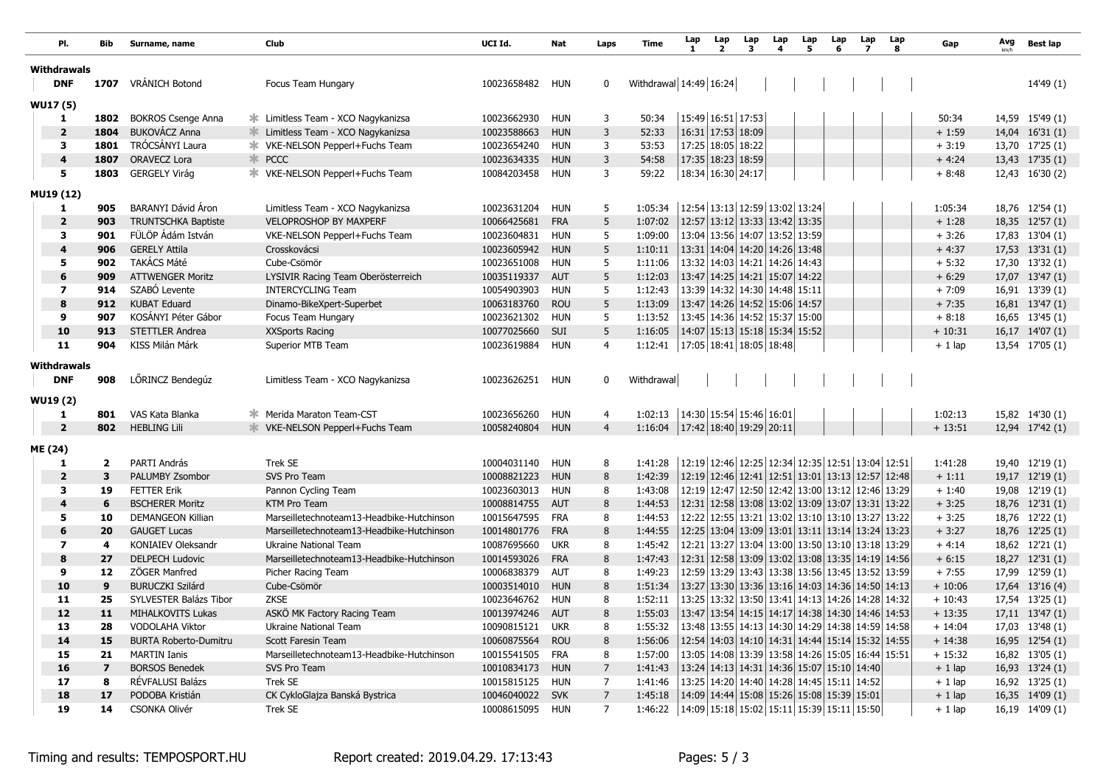| PI.                     | Bib                     | Surname, name                | Club                                        | UCI Id.         | Nat        | Laps           | Time                   | Lap<br>1                      | Lap<br>$\overline{\mathbf{2}}$ | Lap<br>3 | Lap<br>4 | Lap<br>5                                        | Lap<br>6 | Lap<br>7 | Lap<br>8 | Gap      | Avg<br>km/h | <b>Best lap</b>    |
|-------------------------|-------------------------|------------------------------|---------------------------------------------|-----------------|------------|----------------|------------------------|-------------------------------|--------------------------------|----------|----------|-------------------------------------------------|----------|----------|----------|----------|-------------|--------------------|
| <b>Withdrawals</b>      |                         |                              |                                             |                 |            |                |                        |                               |                                |          |          |                                                 |          |          |          |          |             |                    |
| <b>DNF</b>              | 1707                    | VRÁNICH Botond               | Focus Team Hungary                          | 10023658482     | <b>HUN</b> | 0              | Withdrawal 14:49 16:24 |                               |                                |          |          |                                                 |          |          |          |          |             | 14'49 (1)          |
| <b>WU17 (5)</b>         |                         |                              |                                             |                 |            |                |                        |                               |                                |          |          |                                                 |          |          |          |          |             |                    |
| 1                       | 1802                    | <b>BOKROS Csenge Anna</b>    | Limitless Team - XCO Nagykanizsa<br>∗.      | 10023662930     | <b>HUN</b> | 3              | 50:34                  |                               | 15:49 16:51 17:53              |          |          |                                                 |          |          |          | 50:34    |             | 14,59 15'49 (1)    |
| $\mathbf{2}$            | 1804                    | <b>BUKOVÁCZ Anna</b>         | Limitless Team - XCO Nagykanizsa            | 10023588663     | <b>HUN</b> | 3              | 52:33                  |                               | 16:31 17:53 18:09              |          |          |                                                 |          |          |          | $+1:59$  |             | 14,04 16'31 (1)    |
| 3                       | 1801                    | TRÓCSÁNYI Laura              |                                             | 10023654240     | <b>HUN</b> | 3              | 53:53                  |                               | 17:25 18:05 18:22              |          |          |                                                 |          |          |          | $+3:19$  |             | 13,70 17'25 (1)    |
| $\overline{\mathbf{4}}$ | 1807                    | ORAVECZ Lora                 | <b>* PCCC</b>                               | 10023634335     | <b>HUN</b> | 3              | 54:58                  |                               | 17:35 18:23 18:59              |          |          |                                                 |          |          |          | $+4:24$  |             | 13,43 17'35 (1)    |
| 5                       | 1803                    | <b>GERGELY Virág</b>         | <b>*</b> VKE-NELSON PepperI+Fuchs Team      | 10084203458     | <b>HUN</b> | 3              | 59:22                  |                               | 18:34 16:30 24:17              |          |          |                                                 |          |          |          | $+8:48$  |             | 12,43 16'30 (2)    |
| MU19 (12)               |                         |                              |                                             |                 |            |                |                        |                               |                                |          |          |                                                 |          |          |          |          |             |                    |
| 1                       | 905                     | BARANYI Dávid Áron           | Limitless Team - XCO Nagykanizsa            | 10023631204     | <b>HUN</b> | 5              | 1:05:34                |                               |                                |          |          | 12:54 13:13 12:59 13:02 13:24                   |          |          |          | 1:05:34  |             | 18,76 12'54 (1)    |
| $\mathbf{2}$            | 903                     | <b>TRUNTSCHKA Baptiste</b>   | <b>VELOPROSHOP BY MAXPERF</b>               | 10066425681     | <b>FRA</b> | 5              | 1:07:02                |                               |                                |          |          | 12:57 13:12 13:33 13:42 13:35                   |          |          |          | $+1:28$  |             | 18,35 12'57 (1)    |
| 3                       | 901                     | FÜLÖP Ádám István            | VKE-NELSON Pepperl+Fuchs Team               | 10023604831     | <b>HUN</b> | 5              | 1:09:00                |                               |                                |          |          | 13:04 13:56 14:07 13:52 13:59                   |          |          |          | $+3:26$  |             | 17,83 13'04 (1)    |
| 4                       | 906                     | <b>GERELY Attila</b>         | Crosskovácsi                                | 10023605942     | <b>HUN</b> | 5              | 1:10:11                |                               |                                |          |          | 13:31 14:04 14:20 14:26 13:48                   |          |          |          | $+4:37$  |             | 17,53 13'31 (1)    |
| 5                       | 902                     | <b>TAKÁCS Máté</b>           | Cube-Csömör                                 | 10023651008     | <b>HUN</b> | 5              | 1:11:06                |                               |                                |          |          | 13:32 14:03 14:21 14:26 14:43                   |          |          |          | $+5:32$  |             | 17,30 13'32 (1)    |
| 6                       | 909                     | <b>ATTWENGER Moritz</b>      | LYSIVIR Racing Team Oberösterreich          | 10035119337     | <b>AUT</b> | 5              | 1:12:03                |                               |                                |          |          | 13:47 14:25 14:21 15:07 14:22                   |          |          |          | $+6:29$  |             | 17,07 13'47 (1)    |
| $\overline{\mathbf{z}}$ | 914                     | SZABÓ Levente                | <b>INTERCYCLING Team</b>                    | 10054903903     | <b>HUN</b> | 5              | 1:12:43                |                               | 13:39 14:32 14:30 14:48 15:11  |          |          |                                                 |          |          |          | $+7:09$  |             | 16,91 13'39 (1)    |
| 8                       | 912                     | <b>KUBAT Eduard</b>          | Dinamo-BikeXpert-Superbet                   | 10063183760     | <b>ROU</b> | 5              | 1:13:09                |                               |                                |          |          | 13:47 14:26 14:52 15:06 14:57                   |          |          |          | $+7:35$  |             | $16,81$ 13'47 (1)  |
| 9                       | 907                     | KOSÁNYI Péter Gábor          | Focus Team Hungary                          | 10023621302     | <b>HUN</b> | 5              | 1:13:52                |                               |                                |          |          | 13:45 14:36 14:52 15:37 15:00                   |          |          |          | $+8:18$  |             | 16,65 13'45 (1)    |
| 10                      | 913                     | <b>STETTLER Andrea</b>       | XXSports Racing                             | 10077025660     | SUI        | 5              | 1:16:05                |                               |                                |          |          | 14:07 15:13 15:18 15:34 15:52                   |          |          |          | $+10:31$ |             | 16,17 14'07 (1)    |
| 11                      | 904                     | <b>KISS Milán Márk</b>       | Superior MTB Team                           | 10023619884     | <b>HUN</b> | 4              | 1:12:41                |                               | 17:05 18:41 18:05 18:48        |          |          |                                                 |          |          |          | $+1$ lap |             | 13,54 17'05 (1)    |
| Withdrawals             |                         |                              |                                             |                 |            |                |                        |                               |                                |          |          |                                                 |          |          |          |          |             |                    |
| <b>DNF</b>              | 908                     | LÖRINCZ Bendegúz             | Limitless Team - XCO Nagykanizsa            | 10023626251     | <b>HUN</b> | 0              | Withdrawal             |                               |                                |          |          |                                                 |          |          |          |          |             |                    |
|                         |                         |                              |                                             |                 |            |                |                        |                               |                                |          |          |                                                 |          |          |          |          |             |                    |
| <b>WU19 (2)</b>         |                         |                              |                                             |                 |            |                |                        |                               |                                |          |          |                                                 |          |          |          |          |             |                    |
| 1                       | 801                     | VAS Kata Blanka              | Merida Maraton Team-CST                     | 10023656260     | <b>HUN</b> | 4              | 1:02:13                |                               | 14:30 15:54 15:46 16:01        |          |          |                                                 |          |          |          | 1:02:13  |             | 15,82 14'30 (1)    |
| $\overline{2}$          | 802                     | <b>HEBLING Lili</b>          | <b>   ¥   VKE-NELSON PepperI+Fuchs Team</b> | 10058240804     | <b>HUN</b> | $\overline{4}$ | 1:16:04                | 17:42   18:40   19:29   20:11 |                                |          |          |                                                 |          |          |          | $+13:51$ |             | 12,94 17'42 (1)    |
| ME (24)                 |                         |                              |                                             |                 |            |                |                        |                               |                                |          |          |                                                 |          |          |          |          |             |                    |
| 1                       | $\overline{\mathbf{2}}$ | PARTI András                 | Trek SE                                     | 10004031140     | <b>HUN</b> | 8              | 1:41:28                |                               |                                |          |          | 12:19 12:46 12:25 12:34 12:35 12:51 13:04 12:51 |          |          |          | 1:41:28  |             | 19,40 12'19 (1)    |
| $\overline{\mathbf{2}}$ | 3                       | PALUMBY Zsombor              | SVS Pro Team                                | 10008821223     | <b>HUN</b> | 8              | 1:42:39                |                               |                                |          |          | 12:19 12:46 12:41 12:51 13:01 13:13 12:57 12:48 |          |          |          | $+1:11$  |             | 19,17 12'19 (1)    |
| 3                       | 19                      | <b>FETTER Erik</b>           | Pannon Cycling Team                         | 10023603013     | <b>HUN</b> | 8              | 1:43:08                |                               |                                |          |          | 12:19 12:47 12:50 12:42 13:00 13:12 12:46 13:29 |          |          |          | $+1:40$  |             | 19,08 12'19 (1)    |
| 4                       | 6                       | <b>BSCHERER Moritz</b>       | <b>KTM Pro Team</b>                         | 10008814755     | <b>AUT</b> | 8              | 1:44:53                |                               |                                |          |          | 12:31 12:58 13:08 13:02 13:09 13:07 13:31 13:22 |          |          |          | $+3:25$  |             | 18,76 12'31 (1)    |
| 5                       | 10                      | <b>DEMANGEON Killian</b>     | Marseilletechnoteam13-Headbike-Hutchinson   | 10015647595     | <b>FRA</b> | 8              | 1:44:53                |                               |                                |          |          | 12:22 12:55 13:21 13:02 13:10 13:10 13:27 13:22 |          |          |          | $+3:25$  |             | 18,76 12'22 (1)    |
| 6                       | 20                      | <b>GAUGET Lucas</b>          | Marseilletechnoteam13-Headbike-Hutchinson   | 10014801776     | <b>FRA</b> | 8              | 1:44:55                |                               |                                |          |          | 12:25 13:04 13:09 13:01 13:11 13:14 13:24 13:23 |          |          |          | $+3:27$  |             | 18,76 12'25 (1)    |
| $\overline{\mathbf{z}}$ | 4                       | KONIAIEV Oleksandr           | Ukraine National Team                       | 10087695660     | <b>UKR</b> | 8              | 1:45:42                |                               |                                |          |          | 12:21 13:27 13:04 13:00 13:50 13:10 13:18 13:29 |          |          |          | $+4:14$  |             | 18,62 12'21 (1)    |
| 8                       | 27                      | <b>DELPECH Ludovic</b>       | Marseilletechnoteam13-Headbike-Hutchinson   | 10014593026     | <b>FRA</b> | 8              | 1:47:43                |                               |                                |          |          | 12:31 12:58 13:09 13:02 13:08 13:35 14:19 14:56 |          |          |          | $+6:15$  |             | 18,27 12'31 (1)    |
| 9                       | 12                      | ZÖGER Manfred                | Picher Racing Team                          | 10006838379     | <b>AUT</b> | 8              | 1:49:23                |                               |                                |          |          | 12:59 13:29 13:43 13:38 13:56 13:45 13:52 13:59 |          |          |          | $+7:55$  |             | 17,99 12'59 (1)    |
| 10                      | 9                       | <b>BURUCZKI Szilárd</b>      | Cube-Csömör                                 | 10003514010     | <b>HUN</b> | 8              | 1:51:34                |                               |                                |          |          | 13:27 13:30 13:36 13:16 14:03 14:36 14:50 14:13 |          |          |          | $+10:06$ |             | 17,64 13'16 (4)    |
| 11                      | 25                      | SYLVESTER Balázs Tibor       | <b>ZKSE</b>                                 | 10023646762     | <b>HUN</b> | 8              | 1:52:11                |                               |                                |          |          | 13:25 13:32 13:50 13:41 14:13 14:26 14:28 14:32 |          |          |          | $+10:43$ |             | 17,54 13'25 (1)    |
| 12                      | 11                      | <b>MIHALKOVITS Lukas</b>     | ASKÖ MK Factory Racing Team                 | 10013974246     | <b>AUT</b> | 8              | 1:55:03                |                               |                                |          |          | 13:47 13:54 14:15 14:17 14:38 14:30 14:46 14:53 |          |          |          | $+13:35$ |             | $17,11$ $13'47(1)$ |
| 13                      | 28                      | VODOLAHA Viktor              | Ukraine National Team                       | 10090815121 UKR |            | 8              | 1:55:32                |                               |                                |          |          | 13:48 13:55 14:13 14:30 14:29 14:38 14:59 14:58 |          |          |          | $+14:04$ |             | 17,03 13'48 (1)    |
| $14$                    | 15                      | <b>BURTA Roberto-Dumitru</b> | Scott Faresin Team                          | 10060875564     | <b>ROU</b> | 8              | 1:56:06                |                               |                                |          |          | 12:54 14:03 14:10 14:31 14:44 15:14 15:32 14:55 |          |          |          | $+14:38$ |             | 16,95 12'54 (1)    |
| 15                      | 21                      | <b>MARTIN Ianis</b>          | Marseilletechnoteam13-Headbike-Hutchinson   | 10015541505 FRA |            | 8              | 1:57:00                |                               |                                |          |          | 13:05 14:08 13:39 13:58 14:26 15:05 16:44 15:51 |          |          |          | $+15:32$ |             | 16,82 13'05 (1)    |
| 16                      | $\overline{\mathbf{z}}$ | <b>BORSOS Benedek</b>        | SVS Pro Team                                | 10010834173     | <b>HUN</b> | 7              | 1:41:43                |                               |                                |          |          | 13:24 14:13 14:31 14:36 15:07 15:10 14:40       |          |          |          | $+1$ lap |             | 16,93 13'24 (1)    |
| 17                      | 8                       | RÉVFALUSI Balázs             | Trek SE                                     | 10015815125 HUN |            | 7              | 1:41:46                |                               |                                |          |          | 13:25 14:20 14:40 14:28 14:45 15:11 14:52       |          |          |          | $+1$ lap |             | 16,92 13'25 (1)    |
| 18                      | 17                      | PODOBA Kristián              | CK CykloGlajza Banská Bystrica              | 10046040022 SVK |            | 7              | 1:45:18                |                               |                                |          |          | 14:09 14:44 15:08 15:26 15:08 15:39 15:01       |          |          |          | $+1$ lap |             | 16,35 14'09 (1)    |
| 19                      | 14                      | <b>CSONKA Olivér</b>         | Trek SE                                     | 10008615095 HUN |            | 7              | 1:46:22                |                               |                                |          |          | 14:09 15:18 15:02 15:11 15:39 15:11 15:50       |          |          |          | $+1$ lap |             | 16,19 14'09 (1)    |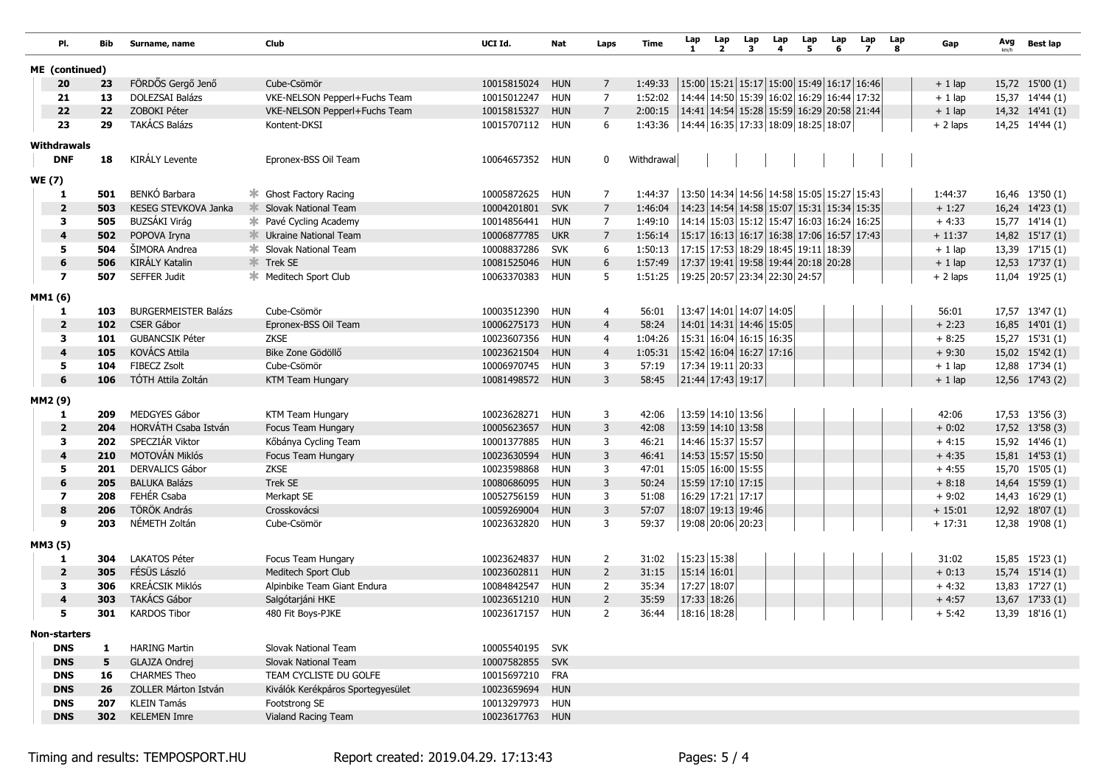| PI.                               | Bib       | Surname, name               | Club                                     | UCI Id.         | Nat        | Laps           | Time                                                    | Lap<br>-1 | Lap<br>$\overline{2}$                                 | Lap<br>3 | Lap<br>4 | Lap<br>5 | Lap<br>6 | Lap<br>7                                  | Lap<br>8 | Gap       | Avg<br>km/h | <b>Best lap</b> |
|-----------------------------------|-----------|-----------------------------|------------------------------------------|-----------------|------------|----------------|---------------------------------------------------------|-----------|-------------------------------------------------------|----------|----------|----------|----------|-------------------------------------------|----------|-----------|-------------|-----------------|
| ME (continued)                    |           |                             |                                          |                 |            |                |                                                         |           |                                                       |          |          |          |          |                                           |          |           |             |                 |
| 20                                | 23        | FÖRDŐS Gergő Jenő           | Cube-Csömör                              | 10015815024     | <b>HUN</b> | 7              | 1:49:33                                                 |           |                                                       |          |          |          |          | 15:00 15:21 15:17 15:00 15:49 16:17 16:46 |          | $+1$ lap  |             | 15,72 15'00 (1) |
| 21                                | 13        | <b>DOLEZSAI Balázs</b>      | VKE-NELSON Pepperl+Fuchs Team            | 10015012247     | <b>HUN</b> | 7              | 1:52:02                                                 |           | 14:44 14:50 15:39 16:02 16:29 16:44 17:32             |          |          |          |          |                                           |          | $+1$ lap  |             | 15,37 14'44 (1) |
| 22                                | 22        | ZOBOKI Péter                | VKE-NELSON Pepperl+Fuchs Team            | 10015815327     | <b>HUN</b> | $\overline{7}$ | 2:00:15                                                 |           | 14:41   14:54   15:28   15:59   16:29   20:58   21:44 |          |          |          |          |                                           |          | $+1$ lap  |             | 14,32 14'41 (1) |
| 23                                | 29        | <b>TAKÁCS Balázs</b>        | Kontent-DKSI                             | 10015707112     | <b>HUN</b> | 6              | 1:43:36   14:44   16:35   17:33   18:09   18:25   18:07 |           |                                                       |          |          |          |          |                                           |          | $+2$ laps |             | 14,25 14'44 (1) |
|                                   |           |                             |                                          |                 |            |                |                                                         |           |                                                       |          |          |          |          |                                           |          |           |             |                 |
| Withdrawals<br><b>DNF</b>         | 18        | <b>KIRÁLY Levente</b>       | Epronex-BSS Oil Team                     | 10064657352     | hun        | 0              | Withdrawal                                              |           |                                                       |          |          |          |          |                                           |          |           |             |                 |
|                                   |           |                             |                                          |                 |            |                |                                                         |           |                                                       |          |          |          |          |                                           |          |           |             |                 |
| <b>WE (7)</b>                     |           |                             |                                          |                 |            |                |                                                         |           |                                                       |          |          |          |          |                                           |          |           |             |                 |
| 1                                 | 501       | BENKÓ Barbara               | * Ghost Factory Racing                   | 10005872625     | <b>HUN</b> | 7              | 1:44:37                                                 |           | 13:50 14:34 14:56 14:58 15:05 15:27 15:43             |          |          |          |          |                                           |          | 1:44:37   |             | 16,46 13'50 (1) |
| $\overline{\mathbf{2}}$           | 503       | KESEG STEVKOVA Janka        | Slovak National Team                     | 10004201801     | <b>SVK</b> | $\overline{7}$ | 1:46:04                                                 |           | 14:23 14:54 14:58 15:07 15:31 15:34 15:35             |          |          |          |          |                                           |          | $+1:27$   |             | 16,24 14'23 (1) |
| 3                                 | 505       | BUZSÁKI Virág               | <b><sup>→</sup> Pavé Cycling Academy</b> | 10014856441     | <b>HUN</b> | $\overline{7}$ | 1:49:10                                                 |           | 14:14 15:03 15:12 15:47 16:03 16:24 16:25             |          |          |          |          |                                           |          | $+4:33$   |             | 15,77 14'14 (1) |
| $\overline{\mathbf{4}}$           | 502       | POPOVA Iryna                | <b>We Ukraine National Team</b>          | 10006877785     | <b>UKR</b> | $\overline{7}$ | 1:56:14                                                 |           | 15:17 16:13 16:17 16:38 17:06 16:57 17:43             |          |          |          |          |                                           |          | $+11:37$  |             | 14,82 15'17 (1) |
| 5                                 | 504       | ŠIMORA Andrea               | <b>* Slovak National Team</b>            | 10008837286     | <b>SVK</b> | 6              | 1:50:13                                                 |           | 17:15 17:53 18:29 18:45 19:11 18:39                   |          |          |          |          |                                           |          | $+1$ lap  |             | 13,39 17'15 (1) |
| 6                                 | 506       | KIRÁLY Katalin              | <b>X</b> Trek SE                         | 10081525046     | <b>HUN</b> | 6              | 1:57:49                                                 |           | 17:37 19:41 19:58 19:44 20:18 20:28                   |          |          |          |          |                                           |          | $+1$ lap  |             | 12,53 17'37 (1) |
| $\overline{\mathbf{z}}$           | 507       | <b>SEFFER Judit</b>         | <b>* Meditech Sport Club</b>             | 10063370383     | <b>HUN</b> | 5              | 1:51:25                                                 |           | 19:25 20:57 23:34 22:30 24:57                         |          |          |          |          |                                           |          | $+2$ laps |             | 11,04 19'25 (1) |
| MM1(6)                            |           |                             |                                          |                 |            |                |                                                         |           |                                                       |          |          |          |          |                                           |          |           |             |                 |
| 1                                 | 103       | <b>BURGERMEISTER Balázs</b> | Cube-Csömör                              | 10003512390     | <b>HUN</b> | 4              | 56:01                                                   |           | 13:47 14:01 14:07 14:05                               |          |          |          |          |                                           |          | 56:01     |             | 17,57 13'47 (1) |
| $\overline{\mathbf{2}}$           | 102       | <b>CSER Gábor</b>           | Epronex-BSS Oil Team                     | 10006275173     | <b>HUN</b> | $\overline{4}$ | 58:24                                                   |           | 14:01 14:31 14:46 15:05                               |          |          |          |          |                                           |          | $+2:23$   |             | 16,85 14'01 (1) |
| 3                                 | 101       | <b>GUBANCSIK Péter</b>      | <b>ZKSE</b>                              | 10023607356     | <b>HUN</b> | 4              | 1:04:26                                                 |           | 15:31 16:04 16:15 16:35                               |          |          |          |          |                                           |          | $+8:25$   |             | 15,27 15'31 (1) |
| $\overline{4}$                    | 105       | KOVÁCS Attila               | Bike Zone Gödöllő                        | 10023621504     | <b>HUN</b> | $\overline{4}$ | 1:05:31                                                 |           | 15:42 16:04 16:27 17:16                               |          |          |          |          |                                           |          | $+9:30$   |             | 15,02 15'42 (1) |
| 5                                 | 104       | <b>FIBECZ Zsolt</b>         | Cube-Csömör                              | 10006970745     | HUN        | 3              | 57:19                                                   |           | 17:34 19:11 20:33                                     |          |          |          |          |                                           |          | $+1$ lap  |             | 12,88 17'34 (1) |
| 6                                 | 106       | TÓTH Attila Zoltán          | KTM Team Hungary                         | 10081498572 HUN |            | 3              | 58:45                                                   |           | 21:44 17:43 19:17                                     |          |          |          |          |                                           |          | $+1$ lap  |             | 12,56 17'43 (2) |
|                                   |           |                             |                                          |                 |            |                |                                                         |           |                                                       |          |          |          |          |                                           |          |           |             |                 |
| MM2(9)                            |           |                             |                                          |                 |            |                |                                                         |           |                                                       |          |          |          |          |                                           |          |           |             |                 |
| 1                                 | 209       | MEDGYES Gábor               | KTM Team Hungary                         | 10023628271     | <b>HUN</b> | 3              | 42:06                                                   |           | 13:59 14:10 13:56                                     |          |          |          |          |                                           |          | 42:06     |             | 17,53 13'56 (3) |
| $\overline{\mathbf{2}}$           | 204       | HORVÁTH Csaba István        | Focus Team Hungary                       | 10005623657     | <b>HUN</b> | 3              | 42:08                                                   |           | 13:59 14:10 13:58                                     |          |          |          |          |                                           |          | $+0:02$   |             | 17,52 13'58 (3) |
| 3                                 | 202       | SPECZIÁR Viktor             | Kőbánya Cycling Team                     | 10001377885     | <b>HUN</b> | 3              | 46:21                                                   |           | 14:46 15:37 15:57                                     |          |          |          |          |                                           |          | $+4:15$   |             | 15,92 14'46 (1) |
| $\overline{4}$                    | 210       | MOTOVÁN Miklós              | Focus Team Hungary                       | 10023630594     | <b>HUN</b> | 3              | 46:41                                                   |           | 14:53 15:57 15:50                                     |          |          |          |          |                                           |          | $+4:35$   |             | 15,81 14'53 (1) |
| 5                                 | 201       | <b>DERVALICS Gábor</b>      | <b>ZKSE</b>                              | 10023598868     | <b>HUN</b> | 3              | 47:01                                                   |           | 15:05 16:00 15:55                                     |          |          |          |          |                                           |          | $+4:55$   |             | 15,70 15'05 (1) |
| 6                                 | 205       | <b>BALUKA Balázs</b>        | Trek SE                                  | 10080686095     | <b>HUN</b> | 3              | 50:24                                                   |           | 15:59 17:10 17:15                                     |          |          |          |          |                                           |          | $+8:18$   |             | 14,64 15'59 (1) |
| $\overline{\mathbf{z}}$           | 208       | FEHÉR Csaba                 | Merkapt SE                               | 10052756159     | <b>HUN</b> | 3              | 51:08                                                   |           | 16:29 17:21 17:17                                     |          |          |          |          |                                           |          | $+9:02$   |             | 14,43 16'29 (1) |
| 8                                 | 206       | TÖRÖK András                | Crosskovácsi                             | 10059269004     | <b>HUN</b> | $\overline{3}$ | 57:07                                                   |           | 18:07 19:13 19:46                                     |          |          |          |          |                                           |          | $+15:01$  |             | 12,92 18'07 (1) |
| 9                                 | 203       | NÉMETH Zoltán               | Cube-Csömör                              | 10023632820     | <b>HUN</b> | 3              | 59:37                                                   |           | 19:08 20:06 20:23                                     |          |          |          |          |                                           |          | $+17:31$  |             | 12,38 19'08 (1) |
| MM3 (5)                           |           |                             |                                          |                 |            |                |                                                         |           |                                                       |          |          |          |          |                                           |          |           |             |                 |
| 1                                 | 304       | <b>LAKATOS Péter</b>        | Focus Team Hungary                       | 10023624837     | <b>HUN</b> | $\overline{2}$ | 31:02                                                   |           | 15:23 15:38                                           |          |          |          |          |                                           |          | 31:02     |             | 15,85 15'23 (1) |
| $\overline{\mathbf{2}}$           | 305       | FÉSÜS László                | Meditech Sport Club                      | 10023602811     | <b>HUN</b> | $\overline{2}$ | 31:15                                                   |           | $15:14$ 16:01                                         |          |          |          |          |                                           |          | $+0:13$   |             | 15,74 15'14 (1) |
| 3                                 | 306       | <b>KREÁCSIK Miklós</b>      | Alpinbike Team Giant Endura              | 10084842547     | <b>HUN</b> | 2              | 35:34                                                   |           | 17:27 18:07                                           |          |          |          |          |                                           |          | $+4:32$   |             | 13,83 17'27 (1) |
| $\overline{4}$                    | 303       | <b>TAKÁCS Gábor</b>         | Salgótarjáni HKE                         | 10023651210     | <b>HUN</b> | $\overline{2}$ | 35:59                                                   |           | 17:33 18:26                                           |          |          |          |          |                                           |          | $+4:57$   |             | 13,67 17'33 (1) |
| 5                                 | 301       | <b>KARDOS Tibor</b>         | 480 Fit Boys-PJKE                        | 10023617157     | HUN        | $\overline{2}$ | 36:44                                                   |           | 18:16 18:28                                           |          |          |          |          |                                           |          | $+ 5:42$  |             | 13,39 18'16 (1) |
|                                   |           |                             |                                          |                 |            |                |                                                         |           |                                                       |          |          |          |          |                                           |          |           |             |                 |
| <b>Non-starters</b><br><b>DNS</b> |           | <b>HARING Martin</b>        | Slovak National Team                     | 10005540195 SVK |            |                |                                                         |           |                                                       |          |          |          |          |                                           |          |           |             |                 |
| <b>DNS</b>                        | 1         | GLAJZA Ondrej               | Slovak National Team                     | 10007582855 SVK |            |                |                                                         |           |                                                       |          |          |          |          |                                           |          |           |             |                 |
| <b>DNS</b>                        | 5<br>16   | <b>CHARMES Theo</b>         | TEAM CYCLISTE DU GOLFE                   | 10015697210 FRA |            |                |                                                         |           |                                                       |          |          |          |          |                                           |          |           |             |                 |
| <b>DNS</b>                        |           | ZOLLER Márton István        | Kiválók Kerékpáros Sportegyesület        | 10023659694 HUN |            |                |                                                         |           |                                                       |          |          |          |          |                                           |          |           |             |                 |
|                                   | 26<br>207 | KLEIN Tamás                 | Footstrong SE                            | 10013297973 HUN |            |                |                                                         |           |                                                       |          |          |          |          |                                           |          |           |             |                 |
| <b>DNS</b><br><b>DNS</b>          | 302       | <b>KELEMEN Imre</b>         | Vialand Racing Team                      | 10023617763 HUN |            |                |                                                         |           |                                                       |          |          |          |          |                                           |          |           |             |                 |
|                                   |           |                             |                                          |                 |            |                |                                                         |           |                                                       |          |          |          |          |                                           |          |           |             |                 |